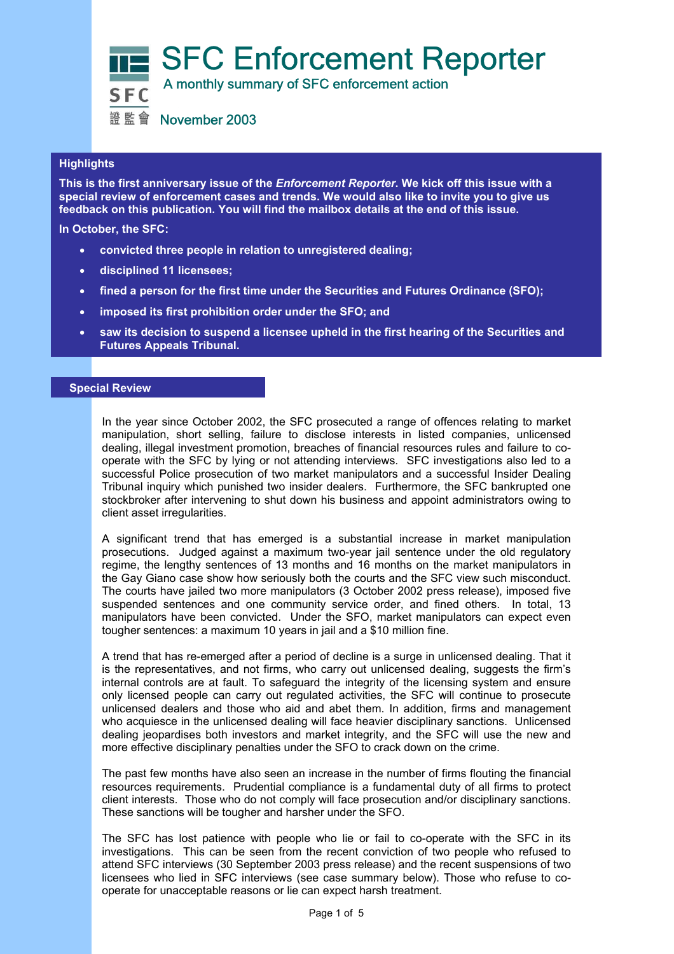SFC Enforcement Reporter



**SEC** A monthly summary of SFC enforcement action

證監會 November 2003

# **Highlights**

 **feedback on this publication. You will find the mailbox details at the end of this issue. This is the first anniversary issue of the** *Enforcement Reporter***. We kick off this issue with a special review of enforcement cases and trends. We would also like to invite you to give us** 

**In October, the SFC:** 

- **convicted three people in relation to unregistered dealing;**
- **disciplined 11 licensees;**
- **fined a person for the first time under the Securities and Futures Ordinance (SFO);**
- **imposed its first prohibition order under the SFO; and**
- **saw its decision to suspend a licensee upheld in the first hearing of the Securities and Futures Appeals Tribunal.**

# **Special Review**

In the year since October 2002, the SFC prosecuted a range of offences relating to market manipulation, short selling, failure to disclose interests in listed companies, unlicensed dealing, illegal investment promotion, breaches of financial resources rules and failure to cooperate with the SFC by lying or not attending interviews. SFC investigations also led to a successful Police prosecution of two market manipulators and a successful Insider Dealing Tribunal inquiry which punished two insider dealers. Furthermore, the SFC bankrupted one stockbroker after intervening to shut down his business and appoint administrators owing to client asset irregularities.

A significant trend that has emerged is a substantial increase in market manipulation prosecutions. Judged against a maximum two-year jail sentence under the old regulatory regime, the lengthy sentences of 13 months and 16 months on the market manipulators in the Gay Giano case show how seriously both the courts and the SFC view such misconduct. The courts have jailed two more manipulators (3 October 2002 press release), imposed five suspended sentences and one community service order, and fined others. In total, 13 manipulators have been convicted. Under the SFO, market manipulators can expect even tougher sentences: a maximum 10 years in jail and a \$10 million fine.

A trend that has re-emerged after a period of decline is a surge in unlicensed dealing. That it is the representatives, and not firms, who carry out unlicensed dealing, suggests the firm's internal controls are at fault. To safeguard the integrity of the licensing system and ensure only licensed people can carry out regulated activities, the SFC will continue to prosecute unlicensed dealers and those who aid and abet them. In addition, firms and management who acquiesce in the unlicensed dealing will face heavier disciplinary sanctions. Unlicensed dealing jeopardises both investors and market integrity, and the SFC will use the new and more effective disciplinary penalties under the SFO to crack down on the crime.

The past few months have also seen an increase in the number of firms flouting the financial resources requirements. Prudential compliance is a fundamental duty of all firms to protect client interests. Those who do not comply will face prosecution and/or disciplinary sanctions. These sanctions will be tougher and harsher under the SFO.

The SFC has lost patience with people who lie or fail to co-operate with the SFC in its investigations. This can be seen from the recent conviction of two people who refused to attend SFC interviews (30 September 2003 press release) and the recent suspensions of two licensees who lied in SFC interviews (see case summary below). Those who refuse to cooperate for unacceptable reasons or lie can expect harsh treatment.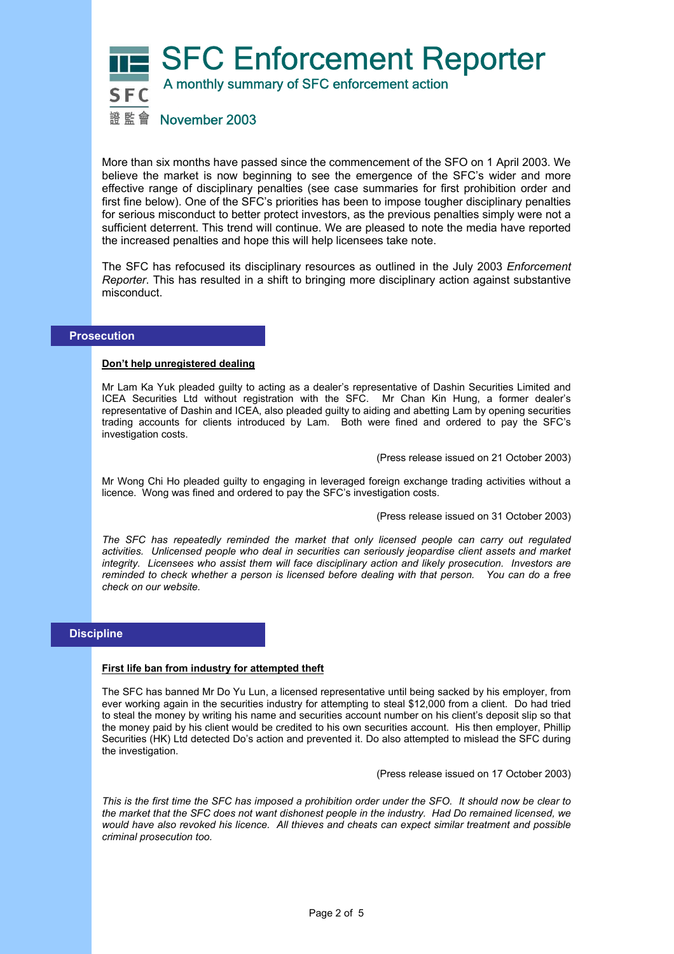

More than six months have passed since the commencement of the SFO on 1 April 2003. We believe the market is now beginning to see the emergence of the SFC's wider and more effective range of disciplinary penalties (see case summaries for first prohibition order and first fine below). One of the SFC's priorities has been to impose tougher disciplinary penalties for serious misconduct to better protect investors, as the previous penalties simply were not a sufficient deterrent. This trend will continue. We are pleased to note the media have reported the increased penalties and hope this will help licensees take note.

The SFC has refocused its disciplinary resources as outlined in the July 2003 *Enforcement Reporter*. This has resulted in a shift to bringing more disciplinary action against substantive misconduct.

## **Prosecution**

#### **Don't help unregistered dealing**

Mr Lam Ka Yuk pleaded guilty to acting as a dealer's representative of Dashin Securities Limited and ICEA Securities Ltd without registration with the SFC. Mr Chan Kin Hung, a former dealer's representative of Dashin and ICEA, also pleaded guilty to aiding and abetting Lam by opening securities trading accounts for clients introduced by Lam. Both were fined and ordered to pay the SFC's investigation costs.

(Press release issued on 21 October 2003)

Mr Wong Chi Ho pleaded guilty to engaging in leveraged foreign exchange trading activities without a licence. Wong was fined and ordered to pay the SFC's investigation costs.

(Press release issued on 31 October 2003)

*The SFC has repeatedly reminded the market that only licensed people can carry out regulated activities. Unlicensed people who deal in securities can seriously jeopardise client assets and market integrity. Licensees who assist them will face disciplinary action and likely prosecution. Investors are reminded to check whether a person is licensed before dealing with that person. You can do a free check on our website.* 

# **Discipline**

#### **First life ban from industry for attempted theft**

The SFC has banned Mr Do Yu Lun, a licensed representative until being sacked by his employer, from ever working again in the securities industry for attempting to steal \$12,000 from a client. Do had tried to steal the money by writing his name and securities account number on his client's deposit slip so that the money paid by his client would be credited to his own securities account. His then employer, Phillip Securities (HK) Ltd detected Do's action and prevented it. Do also attempted to mislead the SFC during the investigation.

(Press release issued on 17 October 2003)

*This is the first time the SFC has imposed a prohibition order under the SFO. It should now be clear to the market that the SFC does not want dishonest people in the industry. Had Do remained licensed, we would have also revoked his licence. All thieves and cheats can expect similar treatment and possible criminal prosecution too.*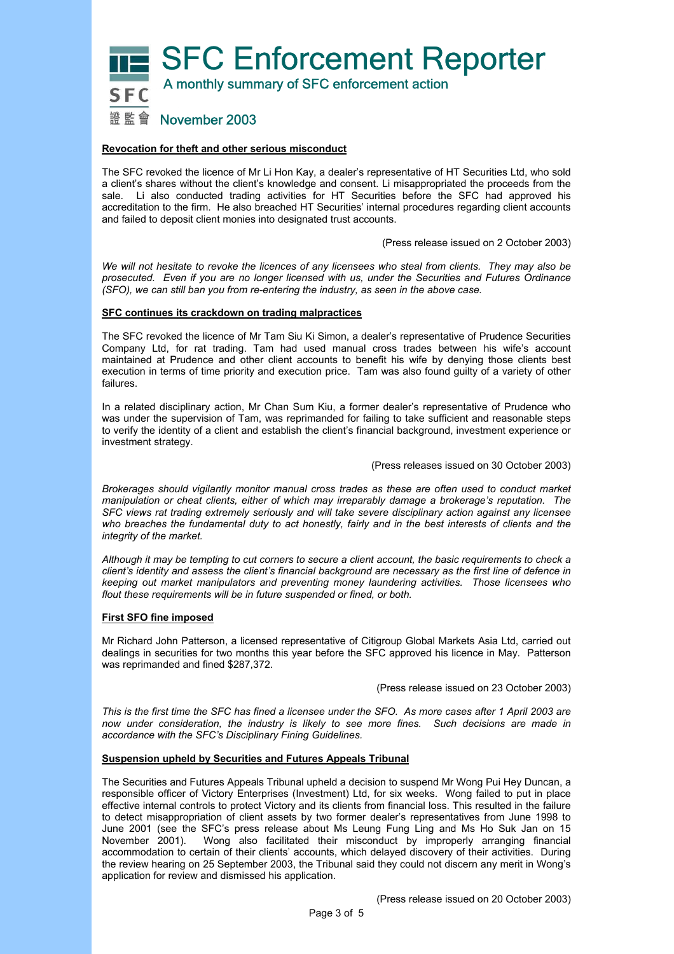**SFC Enforcement Reporter** 



# 證監會 November 2003

#### **Revocation for theft and other serious misconduct**

The SFC revoked the licence of Mr Li Hon Kay, a dealer's representative of HT Securities Ltd, who sold a client's shares without the client's knowledge and consent. Li misappropriated the proceeds from the sale. Li also conducted trading activities for HT Securities before the SFC had approved his accreditation to the firm. He also breached HT Securities' internal procedures regarding client accounts and failed to deposit client monies into designated trust accounts.

(Press release issued on 2 October 2003)

*We will not hesitate to revoke the licences of any licensees who steal from clients. They may also be prosecuted. Even if you are no longer licensed with us, under the Securities and Futures Ordinance (SFO), we can still ban you from re-entering the industry, as seen in the above case.* 

#### **SFC continues its crackdown on trading malpractices**

The SFC revoked the licence of Mr Tam Siu Ki Simon, a dealer's representative of Prudence Securities Company Ltd, for rat trading. Tam had used manual cross trades between his wife's account maintained at Prudence and other client accounts to benefit his wife by denying those clients best execution in terms of time priority and execution price. Tam was also found guilty of a variety of other failures.

In a related disciplinary action, Mr Chan Sum Kiu, a former dealer's representative of Prudence who was under the supervision of Tam, was reprimanded for failing to take sufficient and reasonable steps to verify the identity of a client and establish the client's financial background, investment experience or investment strategy.

#### (Press releases issued on 30 October 2003)

*Brokerages should vigilantly monitor manual cross trades as these are often used to conduct market manipulation or cheat clients, either of which may irreparably damage a brokerage's reputation. The SFC views rat trading extremely seriously and will take severe disciplinary action against any licensee who breaches the fundamental duty to act honestly, fairly and in the best interests of clients and the integrity of the market.*

*Although it may be tempting to cut corners to secure a client account, the basic requirements to check a client's identity and assess the client's financial background are necessary as the first line of defence in keeping out market manipulators and preventing money laundering activities. Those licensees who flout these requirements will be in future suspended or fined, or both.* 

#### **First SFO fine imposed**

Mr Richard John Patterson, a licensed representative of Citigroup Global Markets Asia Ltd, carried out dealings in securities for two months this year before the SFC approved his licence in May. Patterson was reprimanded and fined \$287,372.

(Press release issued on 23 October 2003)

*This is the first time the SFC has fined a licensee under the SFO. As more cases after 1 April 2003 are now under consideration, the industry is likely to see more fines. Such decisions are made in accordance with the SFC's Disciplinary Fining Guidelines.* 

#### **Suspension upheld by Securities and Futures Appeals Tribunal**

The Securities and Futures Appeals Tribunal upheld a decision to suspend Mr Wong Pui Hey Duncan, a responsible officer of Victory Enterprises (Investment) Ltd, for six weeks. Wong failed to put in place effective internal controls to protect Victory and its clients from financial loss. This resulted in the failure to detect misappropriation of client assets by two former dealer's representatives from June 1998 to June 2001 (see the SFC's press release about Ms Leung Fung Ling and Ms Ho Suk Jan on 15 November 2001). Wong also facilitated their misconduct by improperly arranging financial accommodation to certain of their clients' accounts, which delayed discovery of their activities. During the review hearing on 25 September 2003, the Tribunal said they could not discern any merit in Wong's application for review and dismissed his application.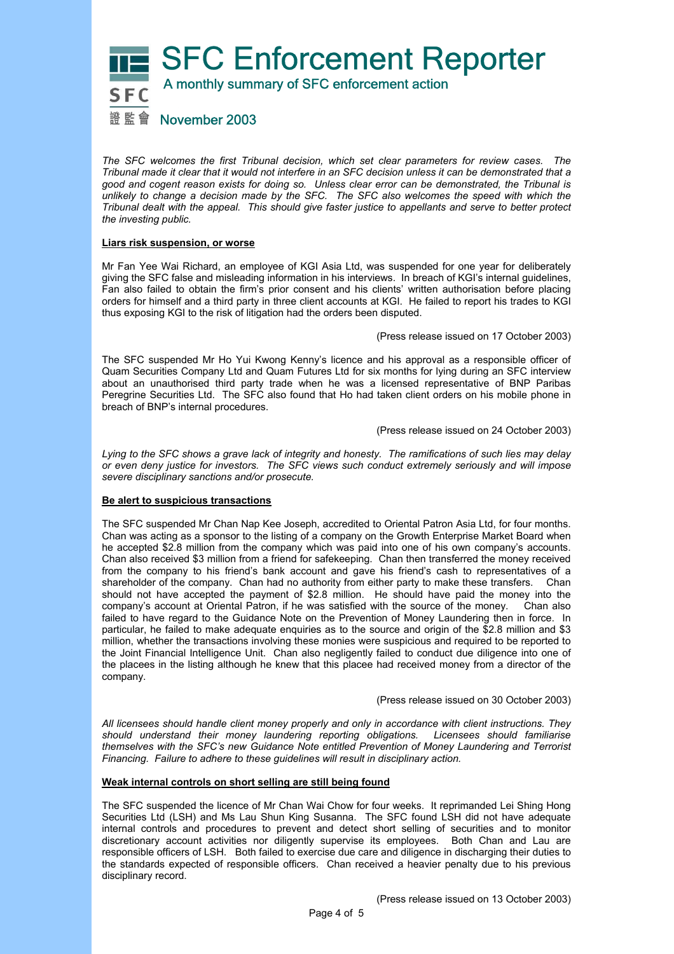

*The SFC welcomes the first Tribunal decision, which set clear parameters for review cases. The Tribunal made it clear that it would not interfere in an SFC decision unless it can be demonstrated that a good and cogent reason exists for doing so. Unless clear error can be demonstrated, the Tribunal is unlikely to change a decision made by the SFC. The SFC also welcomes the speed with which the Tribunal dealt with the appeal. This should give faster justice to appellants and serve to better protect the investing public.*

#### **Liars risk suspension, or worse**

Mr Fan Yee Wai Richard, an employee of KGI Asia Ltd, was suspended for one year for deliberately giving the SFC false and misleading information in his interviews. In breach of KGI's internal guidelines, Fan also failed to obtain the firm's prior consent and his clients' written authorisation before placing orders for himself and a third party in three client accounts at KGI. He failed to report his trades to KGI thus exposing KGI to the risk of litigation had the orders been disputed.

(Press release issued on 17 October 2003)

The SFC suspended Mr Ho Yui Kwong Kenny's licence and his approval as a responsible officer of Quam Securities Company Ltd and Quam Futures Ltd for six months for lying during an SFC interview about an unauthorised third party trade when he was a licensed representative of BNP Paribas Peregrine Securities Ltd. The SFC also found that Ho had taken client orders on his mobile phone in breach of BNP's internal procedures.

(Press release issued on 24 October 2003)

*Lying to the SFC shows a grave lack of integrity and honesty. The ramifications of such lies may delay or even deny justice for investors. The SFC views such conduct extremely seriously and will impose severe disciplinary sanctions and/or prosecute.* 

## **Be alert to suspicious transactions**

The SFC suspended Mr Chan Nap Kee Joseph, accredited to Oriental Patron Asia Ltd, for four months. Chan was acting as a sponsor to the listing of a company on the Growth Enterprise Market Board when he accepted \$2.8 million from the company which was paid into one of his own company's accounts. Chan also received \$3 million from a friend for safekeeping. Chan then transferred the money received from the company to his friend's bank account and gave his friend's cash to representatives of a shareholder of the company. Chan had no authority from either party to make these transfers. Chan should not have accepted the payment of \$2.8 million. He should have paid the money into the company's account at Oriental Patron, if he was satisfied with the source of the money. Chan also failed to have regard to the Guidance Note on the Prevention of Money Laundering then in force. In particular, he failed to make adequate enquiries as to the source and origin of the \$2.8 million and \$3 million, whether the transactions involving these monies were suspicious and required to be reported to the Joint Financial Intelligence Unit. Chan also negligently failed to conduct due diligence into one of the placees in the listing although he knew that this placee had received money from a director of the company.

(Press release issued on 30 October 2003)

*All licensees should handle client money properly and only in accordance with client instructions. They should understand their money laundering reporting obligations. Licensees should familiarise themselves with the SFC's new Guidance Note entitled Prevention of Money Laundering and Terrorist Financing. Failure to adhere to these guidelines will result in disciplinary action.* 

#### **Weak internal controls on short selling are still being found**

The SFC suspended the licence of Mr Chan Wai Chow for four weeks. It reprimanded Lei Shing Hong Securities Ltd (LSH) and Ms Lau Shun King Susanna. The SFC found LSH did not have adequate internal controls and procedures to prevent and detect short selling of securities and to monitor discretionary account activities nor diligently supervise its employees. Both Chan and Lau are responsible officers of LSH. Both failed to exercise due care and diligence in discharging their duties to the standards expected of responsible officers. Chan received a heavier penalty due to his previous disciplinary record.